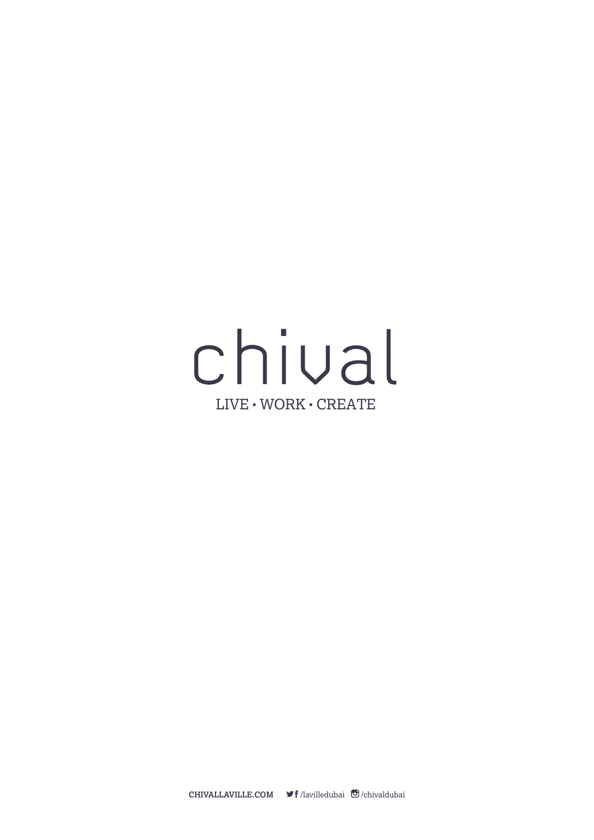# chival  $LIVE \cdot WORK \cdot CREATE$